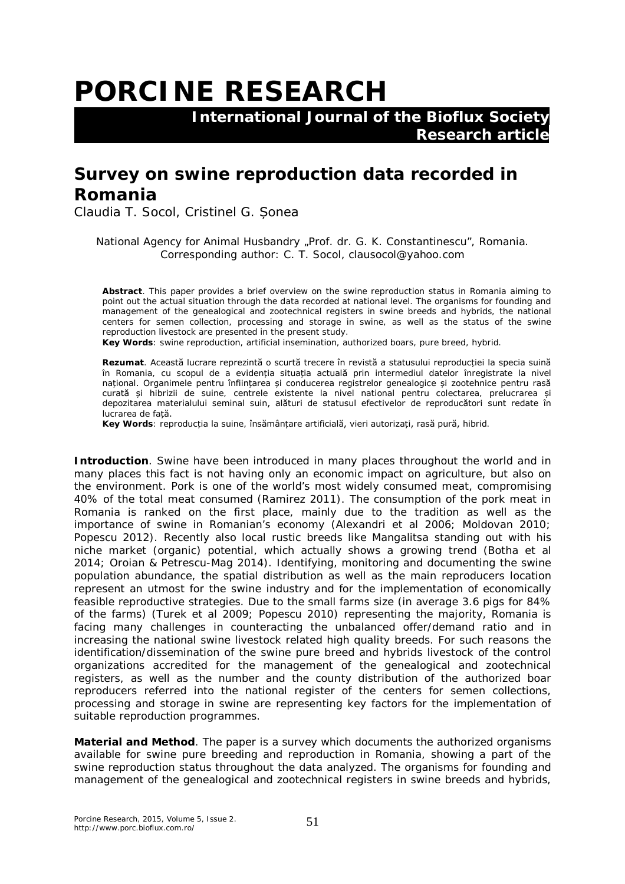## **PORCINE RESEARCH**

 **International Journal of the Bioflux Society Research article**

## **Survey on swine reproduction data recorded in Romania**

Claudia T. Socol, Cristinel G. Șonea

National Agency for Animal Husbandry "Prof. dr. G. K. Constantinescu", Romania. Corresponding author: C. T. Socol, clausocol@yahoo.com

**Abstract**. This paper provides a brief overview on the swine reproduction status in Romania aiming to point out the actual situation through the data recorded at national level. The organisms for founding and management of the genealogical and zootechnical registers in swine breeds and hybrids, the national centers for semen collection, processing and storage in swine, as well as the status of the swine reproduction livestock are presented in the present study.

**Key Words**: swine reproduction, artificial insemination, authorized boars, pure breed, hybrid.

**Rezumat**. Această lucrare reprezintă o scurtă trecere în revistă a statusului reproducției la specia suină în Romania, cu scopul de a evidenția situația actuală prin intermediul datelor înregistrate la nivel național. Organimele pentru înființarea și conducerea registrelor genealogice și zootehnice pentru rasă curată și hibrizii de suine, centrele existente la nivel national pentru colectarea, prelucrarea și depozitarea materialului seminal suin, alături de statusul efectivelor de reproducători sunt redate în lucrarea de față.

**Key Words**: reproducția la suine, însămânțare artificială, vieri autorizați, rasă pură, hibrid.

**Introduction**. Swine have been introduced in many places throughout the world and in many places this fact is not having only an economic impact on agriculture, but also on the environment. Pork is one of the world's most widely consumed meat, compromising 40% of the total meat consumed (Ramirez 2011). The consumption of the pork meat in Romania is ranked on the first place, mainly due to the tradition as well as the importance of swine in Romanian's economy (Alexandri et al 2006; Moldovan 2010; Popescu 2012). Recently also local rustic breeds like Mangalitsa standing out with his niche market (organic) potential, which actually shows a growing trend (Botha et al 2014; Oroian & Petrescu-Mag 2014). Identifying, monitoring and documenting the swine population abundance, the spatial distribution as well as the main reproducers location represent an utmost for the swine industry and for the implementation of economically feasible reproductive strategies. Due to the small farms size (in average 3.6 pigs for 84% of the farms) (Turek et al 2009; Popescu 2010) representing the majority, Romania is facing many challenges in counteracting the unbalanced offer/demand ratio and in increasing the national swine livestock related high quality breeds. For such reasons the identification/dissemination of the swine pure breed and hybrids livestock of the control organizations accredited for the management of the genealogical and zootechnical registers, as well as the number and the county distribution of the authorized boar reproducers referred into the national register of the centers for semen collections, processing and storage in swine are representing key factors for the implementation of suitable reproduction programmes.

**Material and Method**. The paper is a survey which documents the authorized organisms available for swine pure breeding and reproduction in Romania, showing a part of the swine reproduction status throughout the data analyzed. The organisms for founding and management of the genealogical and zootechnical registers in swine breeds and hybrids,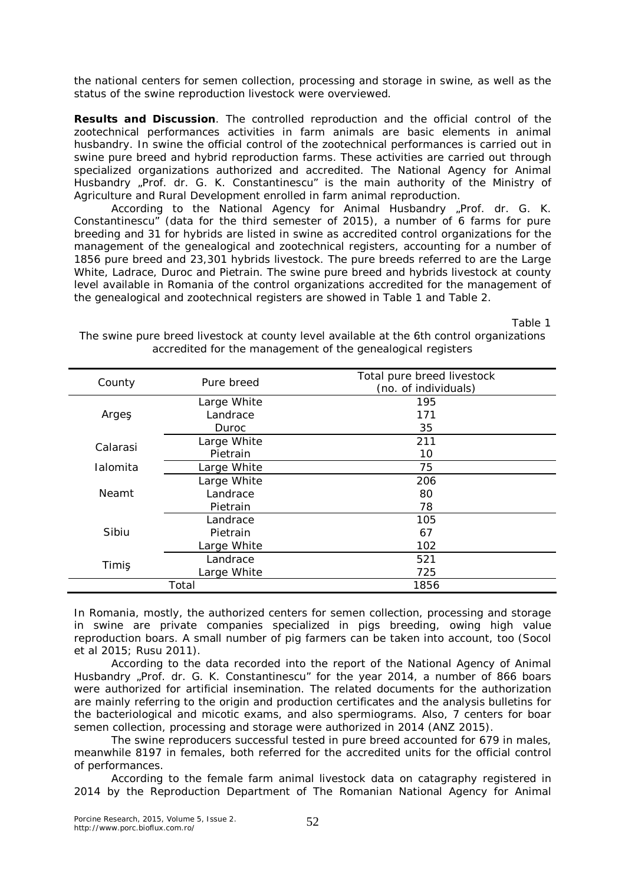the national centers for semen collection, processing and storage in swine, as well as the status of the swine reproduction livestock were overviewed.

**Results and Discussion**. The controlled reproduction and the official control of the zootechnical performances activities in farm animals are basic elements in animal husbandry. In swine the official control of the zootechnical performances is carried out in swine pure breed and hybrid reproduction farms. These activities are carried out through specialized organizations authorized and accredited. The National Agency for Animal Husbandry "Prof. dr. G. K. Constantinescu" is the main authority of the Ministry of Agriculture and Rural Development enrolled in farm animal reproduction.

According to the National Agency for Animal Husbandry "Prof. dr. G. K. Constantinescu" (data for the third semester of 2015), a number of 6 farms for pure breeding and 31 for hybrids are listed in swine as accredited control organizations for the management of the genealogical and zootechnical registers, accounting for a number of 1856 pure breed and 23,301 hybrids livestock. The pure breeds referred to are the Large White, Ladrace, Duroc and Pietrain. The swine pure breed and hybrids livestock at county level available in Romania of the control organizations accredited for the management of the genealogical and zootechnical registers are showed in Table 1 and Table 2.

Table 1

| County   | Pure breed  | Total pure breed livestock |
|----------|-------------|----------------------------|
|          |             | (no. of individuals)       |
| Arges    | Large White | 195                        |
|          | Landrace    | 171                        |
|          | Duroc       | 35                         |
| Calarasi | Large White | 211                        |
|          | Pietrain    | 10                         |
| Ialomita | Large White | 75                         |
| Neamt    | Large White | 206                        |
|          | Landrace    | 80                         |
|          | Pietrain    | 78                         |
| Sibiu    | Landrace    | 105                        |
|          | Pietrain    | 67                         |
|          | Large White | 102                        |
| Timiş    | Landrace    | 521                        |
|          | Large White | 725                        |
| Total    |             | 1856                       |
|          |             |                            |

The swine pure breed livestock at county level available at the 6th control organizations accredited for the management of the genealogical registers

In Romania, mostly, the authorized centers for semen collection, processing and storage in swine are private companies specialized in pigs breeding, owing high value reproduction boars. A small number of pig farmers can be taken into account, too (Socol et al 2015; Rusu 2011).

According to the data recorded into the report of the National Agency of Animal Husbandry "Prof. dr. G. K. Constantinescu" for the year 2014, a number of 866 boars were authorized for artificial insemination. The related documents for the authorization are mainly referring to the origin and production certificates and the analysis bulletins for the bacteriological and micotic exams, and also spermiograms. Also, 7 centers for boar semen collection, processing and storage were authorized in 2014 (ANZ 2015).

The swine reproducers successful tested in pure breed accounted for 679 in males, meanwhile 8197 in females, both referred for the accredited units for the official control of performances.

According to the female farm animal livestock data on catagraphy registered in 2014 by the Reproduction Department of The Romanian National Agency for Animal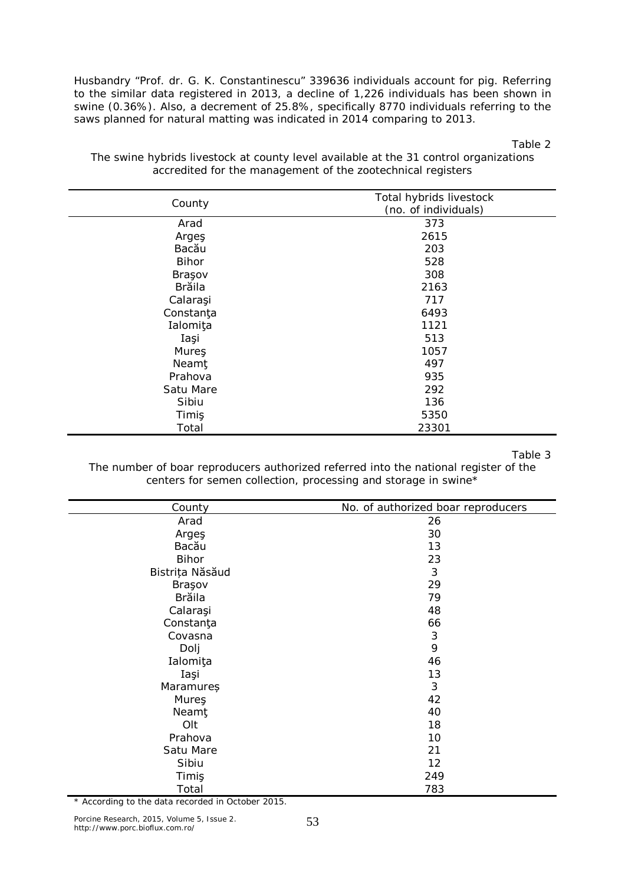Husbandry "Prof. dr. G. K. Constantinescu" 339636 individuals account for pig. Referring to the similar data registered in 2013, a decline of 1,226 individuals has been shown in swine (0.36%). Also, a decrement of 25.8%, specifically 8770 individuals referring to the saws planned for natural matting was indicated in 2014 comparing to 2013.

Table 2

*County Total hybrids livestock (no. of individuals)* Arad 373 Arges 2615<br>Bacău 2003 Bacău 203 Bihor 528 Brasov 308 Brăila 2163 Calaraşi 717 Constanta 6493 Ialomiţa 1121 Iaşi 513 Mures 1057 Neamt 497 Prahova 935 Satu Mare 292 Sibiu 136 Timiş 5350 Total 23301

The swine hybrids livestock at county level available at the 31 control organizations accredited for the management of the zootechnical registers

Table 3

The number of boar reproducers authorized referred into the national register of the centers for semen collection, processing and storage in swine\*

| County          | No. of authorized boar reproducers |
|-----------------|------------------------------------|
| Arad            | 26                                 |
| Arges           | 30                                 |
| Bacău           | 13                                 |
| <b>Bihor</b>    | 23                                 |
| Bistrița Năsăud | $\mathfrak{Z}$                     |
| Braşov          | 29                                 |
| <b>Brăila</b>   | 79                                 |
| Calaraşi        | 48                                 |
| Constanţa       | 66                                 |
| Covasna         | $\sqrt{3}$                         |
| Dolj            | 9                                  |
| Ialomiţa        | 46                                 |
| Iași            | 13                                 |
| Maramures       | 3                                  |
| Mureş           | 42                                 |
| <b>Neamt</b>    | 40                                 |
| Olt             | 18                                 |
| Prahova         | 10                                 |
| Satu Mare       | 21                                 |
| Sibiu           | 12                                 |
| Timiş           | 249                                |
| Total           | 783                                |

\* According to the data recorded in October 2015.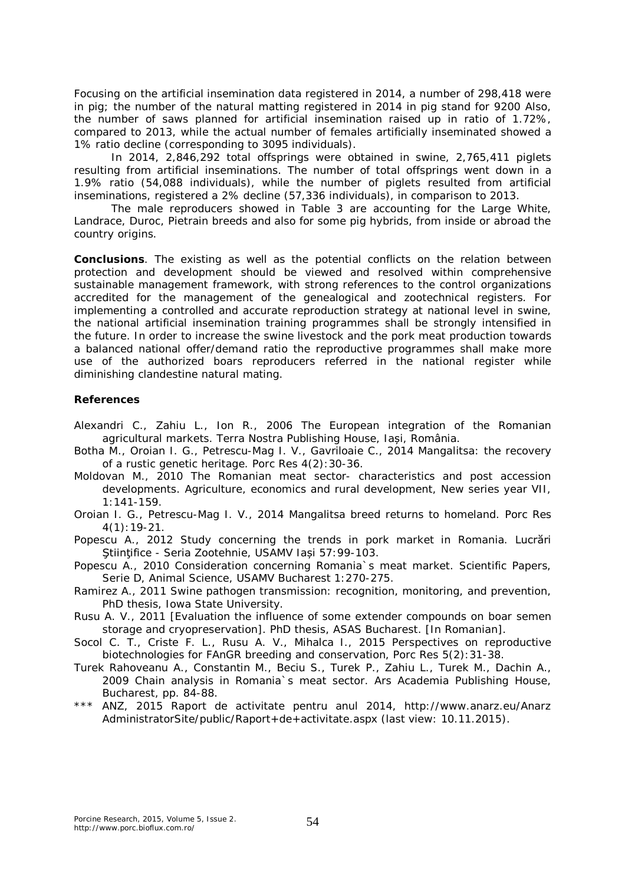Focusing on the artificial insemination data registered in 2014, a number of 298,418 were in pig; the number of the natural matting registered in 2014 in pig stand for 9200 Also, the number of saws planned for artificial insemination raised up in ratio of 1.72%, compared to 2013, while the actual number of females artificially inseminated showed a 1% ratio decline (corresponding to 3095 individuals).

In 2014, 2,846,292 total offsprings were obtained in swine, 2,765,411 piglets resulting from artificial inseminations. The number of total offsprings went down in a 1.9% ratio (54,088 individuals), while the number of piglets resulted from artificial inseminations, registered a 2% decline (57,336 individuals), in comparison to 2013.

The male reproducers showed in Table 3 are accounting for the Large White, Landrace, Duroc, Pietrain breeds and also for some pig hybrids, from inside or abroad the country origins.

**Conclusions**. The existing as well as the potential conflicts on the relation between protection and development should be viewed and resolved within comprehensive sustainable management framework, with strong references to the control organizations accredited for the management of the genealogical and zootechnical registers. For implementing a controlled and accurate reproduction strategy at national level in swine, the national artificial insemination training programmes shall be strongly intensified in the future. In order to increase the swine livestock and the pork meat production towards a balanced national offer/demand ratio the reproductive programmes shall make more use of the authorized boars reproducers referred in the national register while diminishing clandestine natural mating.

## **References**

- Alexandri C., Zahiu L., Ion R., 2006 The European integration of the Romanian agricultural markets. Terra Nostra Publishing House, Iași, România.
- Botha M., Oroian I. G., Petrescu-Mag I. V., Gavriloaie C., 2014 Mangalitsa: the recovery of a rustic genetic heritage. Porc Res 4(2):30-36.
- Moldovan M., 2010 The Romanian meat sector- characteristics and post accession developments. Agriculture, economics and rural development, New series year VII, 1:141-159.
- Oroian I. G., Petrescu-Mag I. V., 2014 Mangalitsa breed returns to homeland. Porc Res 4(1):19-21.
- Popescu A., 2012 Study concerning the trends in pork market in Romania. Lucrări Ştiinţifice - Seria Zootehnie, USAMV Iași 57:99-103.
- Popescu A., 2010 Consideration concerning Romania`s meat market. Scientific Papers, Serie D, Animal Science, USAMV Bucharest 1:270-275.
- Ramirez A., 2011 Swine pathogen transmission: recognition, monitoring, and prevention, PhD thesis, Iowa State University.
- Rusu A. V., 2011 [Evaluation the influence of some extender compounds on boar semen storage and cryopreservation]. PhD thesis, ASAS Bucharest. [In Romanian].
- Socol C. T., Criste F. L., Rusu A. V., Mihalca I., 2015 Perspectives on reproductive biotechnologies for FAnGR breeding and conservation, Porc Res 5(2):31-38.
- Turek Rahoveanu A., Constantin M., Beciu S., Turek P., Zahiu L., Turek M., Dachin A., 2009 Chain analysis in Romania`s meat sector. Ars Academia Publishing House, Bucharest, pp. 84-88.
- \*\*\* ANZ, 2015 Raport de activitate pentru anul 2014, http://www.anarz.eu/Anarz AdministratorSite/public/Raport+de+activitate.aspx (last view: 10.11.2015).